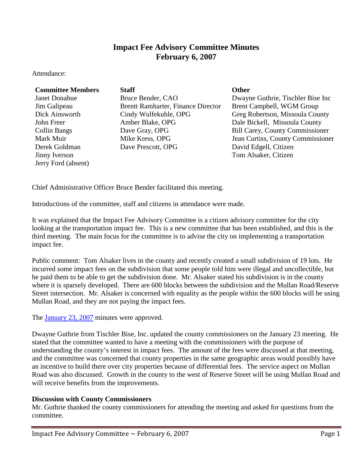# **Impact Fee Advisory Committee Minutes February 6, 2007**

Attendance:

### **Committee Members Staff Committee Members Staff**

Derek Goldman Jinny Iverson Jerry Ford (absent)

Janet Donahue Bruce Bender, CAO Dwayne Guthrie, Tischler Bise Inc Jim Galipeau Brentt Ramharter, Finance Director Brent Campbell, WGM Group Dick Ainsworth Cindy Wulfekuhle, OPG Greg Robertson, Missoula County John Freer Amber Blake, OPG Dale Bickell, Missoula County Collin Bangs Dave Gray, OPG Bill Carey, County Commissioner David Edgell, Citizen

Mark Muir Mike Kress, OPG Jean Curtiss, County Commissioner Tom Alsaker, Citizen

Chief Administrative Officer Bruce Bender facilitated this meeting.

Introductions of the committee, staff and citizens in attendance were made.

It was explained that the Impact Fee Advisory Committee is a citizen advisory committee for the city looking at the transportation impact fee. This is a new committee that has been established, and this is the third meeting. The main focus for the committee is to advise the city on implementing a transportation impact fee.

Public comment: Tom Alsaker lives in the county and recently created a small subdivision of 19 lots. He incurred some impact fees on the subdivision that some people told him were illegal and uncollectible, but he paid them to be able to get the subdivision done. Mr. Alsaker stated his subdivision is in the county where it is sparsely developed. There are 600 blocks between the subdivision and the Mullan Road/Reserve Street intersection. Mr. Alsaker is concerned with equality as the people within the 600 blocks will be using Mullan Road, and they are not paying the impact fees.

The **[January 23, 2007](ftp://www.ci.missoula.mt.us/Documents/Mayor/IFAC/2007/070123Minutes.pdf)** minutes were approved.

Dwayne Guthrie from Tischler Bise, Inc. updated the county commissioners on the January 23 meeting. He stated that the committee wanted to have a meeting with the commissioners with the purpose of understanding the county's interest in impact fees. The amount of the fees were discussed at that meeting, and the committee was concerned that county properties in the same geographic areas would possibly have an incentive to build there over city properties because of differential fees. The service aspect on Mullan Road was also discussed. Growth in the county to the west of Reserve Street will be using Mullan Road and will receive benefits from the improvements.

### **Discussion with County Commissioners**

Mr. Guthrie thanked the county commissioners for attending the meeting and asked for questions from the committee.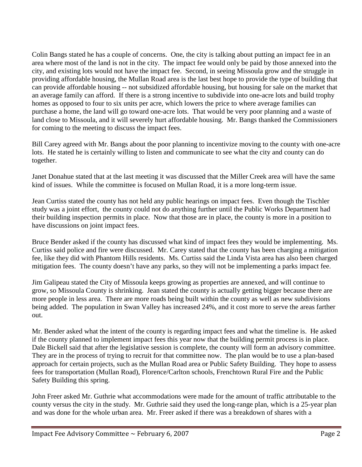Colin Bangs stated he has a couple of concerns. One, the city is talking about putting an impact fee in an area where most of the land is not in the city. The impact fee would only be paid by those annexed into the city, and existing lots would not have the impact fee. Second, in seeing Missoula grow and the struggle in providing affordable housing, the Mullan Road area is the last best hope to provide the type of building that can provide affordable housing -- not subsidized affordable housing, but housing for sale on the market that an average family can afford. If there is a strong incentive to subdivide into one-acre lots and build trophy homes as opposed to four to six units per acre, which lowers the price to where average families can purchase a home, the land will go toward one-acre lots. That would be very poor planning and a waste of land close to Missoula, and it will severely hurt affordable housing. Mr. Bangs thanked the Commissioners for coming to the meeting to discuss the impact fees.

Bill Carey agreed with Mr. Bangs about the poor planning to incentivize moving to the county with one-acre lots. He stated he is certainly willing to listen and communicate to see what the city and county can do together.

Janet Donahue stated that at the last meeting it was discussed that the Miller Creek area will have the same kind of issues. While the committee is focused on Mullan Road, it is a more long-term issue.

Jean Curtiss stated the county has not held any public hearings on impact fees. Even though the Tischler study was a joint effort, the county could not do anything further until the Public Works Department had their building inspection permits in place. Now that those are in place, the county is more in a position to have discussions on joint impact fees.

Bruce Bender asked if the county has discussed what kind of impact fees they would be implementing. Ms. Curtiss said police and fire were discussed. Mr. Carey stated that the county has been charging a mitigation fee, like they did with Phantom Hills residents. Ms. Curtiss said the Linda Vista area has also been charged mitigation fees. The county doesn't have any parks, so they will not be implementing a parks impact fee.

Jim Galipeau stated the City of Missoula keeps growing as properties are annexed, and will continue to grow, so Missoula County is shrinking. Jean stated the county is actually getting bigger because there are more people in less area. There are more roads being built within the county as well as new subdivisions being added. The population in Swan Valley has increased 24%, and it cost more to serve the areas farther out.

Mr. Bender asked what the intent of the county is regarding impact fees and what the timeline is. He asked if the county planned to implement impact fees this year now that the building permit process is in place. Dale Bickell said that after the legislative session is complete, the county will form an advisory committee. They are in the process of trying to recruit for that committee now. The plan would be to use a plan-based approach for certain projects, such as the Mullan Road area or Public Safety Building. They hope to assess fees for transportation (Mullan Road), Florence/Carlton schools, Frenchtown Rural Fire and the Public Safety Building this spring.

John Freer asked Mr. Guthrie what accommodations were made for the amount of traffic attributable to the county versus the city in the study. Mr. Guthrie said they used the long-range plan, which is a 25-year plan and was done for the whole urban area. Mr. Freer asked if there was a breakdown of shares with a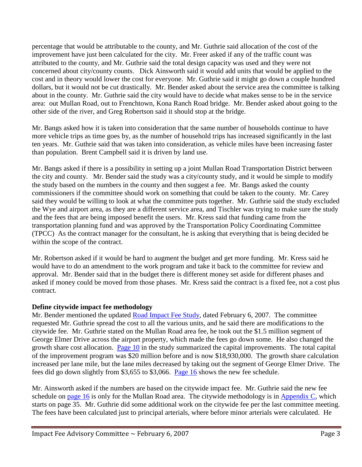percentage that would be attributable to the county, and Mr. Guthrie said allocation of the cost of the improvement have just been calculated for the city. Mr. Freer asked if any of the traffic count was attributed to the county, and Mr. Guthrie said the total design capacity was used and they were not concerned about city/county counts. Dick Ainsworth said it would add units that would be applied to the cost and in theory would lower the cost for everyone. Mr. Guthrie said it might go down a couple hundred dollars, but it would not be cut drastically. Mr. Bender asked about the service area the committee is talking about in the county. Mr. Guthrie said the city would have to decide what makes sense to be in the service area: out Mullan Road, out to Frenchtown, Kona Ranch Road bridge. Mr. Bender asked about going to the other side of the river, and Greg Robertson said it should stop at the bridge.

Mr. Bangs asked how it is taken into consideration that the same number of households continue to have more vehicle trips as time goes by, as the number of household trips has increased significantly in the last ten years. Mr. Guthrie said that was taken into consideration, as vehicle miles have been increasing faster than population. Brent Campbell said it is driven by land use.

Mr. Bangs asked if there is a possibility in setting up a joint Mullan Road Transportation District between the city and county. Mr. Bender said the study was a city/county study, and it would be simple to modify the study based on the numbers in the county and then suggest a fee. Mr. Bangs asked the county commissioners if the committee should work on something that could be taken to the county. Mr. Carey said they would be willing to look at what the committee puts together. Mr. Guthrie said the study excluded the Wye and airport area, as they are a different service area, and Tischler was trying to make sure the study and the fees that are being imposed benefit the users. Mr. Kress said that funding came from the transportation planning fund and was approved by the Transportation Policy Coordinating Committee (TPCC) As the contract manager for the consultant, he is asking that everything that is being decided be within the scope of the contract.

Mr. Robertson asked if it would be hard to augment the budget and get more funding. Mr. Kress said he would have to do an amendment to the work program and take it back to the committee for review and approval. Mr. Bender said that in the budget there is different money set aside for different phases and asked if money could be moved from those phases. Mr. Kress said the contract is a fixed fee, not a cost plus contract.

## **Define citywide impact fee methodology**

Mr. Bender mentioned the updated [Road Impact Fee Study,](ftp://www.ci.missoula.mt.us/Documents/Mayor/IFAC/2007/070206ImpactFeeStudy.pdf) dated February 6, 2007. The committee requested Mr. Guthrie spread the cost to all the various units, and he said there are modifications to the citywide fee. Mr. Guthrie stated on the Mullan Road area fee, he took out the \$1.5 million segment of George Elmer Drive across the airport property, which made the fees go down some. He also changed the growth share cost allocation. [Page 10](ftp://www.ci.missoula.mt.us/Documents/Mayor/IFAC/2007/070206ImpactFeePg10.pdf) in the study summarized the capital improvements. The total capital of the improvement program was \$20 million before and is now \$18,930,000. The growth share calculation increased per lane mile, but the lane miles decreased by taking out the segment of George Elmer Drive. The fees did go down slightly from \$3,655 to \$3,066. [Page 16](ftp://www.ci.missoula.mt.us/Documents/Mayor/IFAC/2007/070206ImpactFeePg16.pdf) shows the new fee schedule.

Mr. Ainsworth asked if the numbers are based on the citywide impact fee. Mr. Guthrie said the new fee schedule on [page 16](ftp://www.ci.missoula.mt.us/Documents/Mayor/IFAC/2007/070206ImpactFeePg16.pdf) is only for the Mullan Road area. The citywide methodology is in [Appendix C,](ftp://www.ci.missoula.mt.us/Documents/Mayor/IFAC/2007/070206ImpactFeeAppC.pdf) which starts on page 35. Mr. Guthrie did some additional work on the citywide fee per the last committee meeting. The fees have been calculated just to principal arterials, where before minor arterials were calculated. He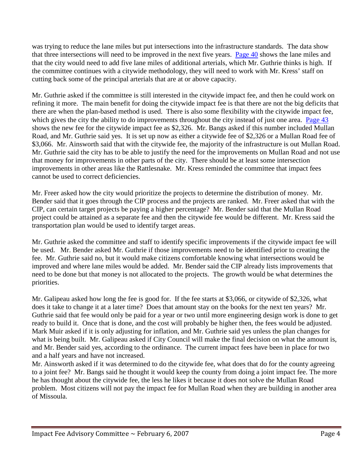was trying to reduce the lane miles but put intersections into the infrastructure standards. The data show that three intersections will need to be improved in the next five years. [Page 40](ftp://www.ci.missoula.mt.us/Documents/Mayor/IFAC/2007/070206ImpactFeePg40.pdf) shows the lane miles and that the city would need to add five lane miles of additional arterials, which Mr. Guthrie thinks is high. If the committee continues with a citywide methodology, they will need to work with Mr. Kress' staff on cutting back some of the principal arterials that are at or above capacity.

Mr. Guthrie asked if the committee is still interested in the citywide impact fee, and then he could work on refining it more. The main benefit for doing the citywide impact fee is that there are not the big deficits that there are when the plan-based method is used. There is also some flexibility with the citywide impact fee, which gives the city the ability to do improvements throughout the city instead of just one area. [Page 43](ftp://www.ci.missoula.mt.us/Documents/Mayor/IFAC/2007/070206ImpactFeePg43.pdf) shows the new fee for the citywide impact fee as \$2,326. Mr. Bangs asked if this number included Mullan Road, and Mr. Guthrie said yes. It is set up now as either a citywide fee of \$2,326 or a Mullan Road fee of \$3,066. Mr. Ainsworth said that with the citywide fee, the majority of the infrastructure is out Mullan Road. Mr. Guthrie said the city has to be able to justify the need for the improvements on Mullan Road and not use that money for improvements in other parts of the city. There should be at least some intersection improvements in other areas like the Rattlesnake. Mr. Kress reminded the committee that impact fees cannot be used to correct deficiencies.

Mr. Freer asked how the city would prioritize the projects to determine the distribution of money. Mr. Bender said that it goes through the CIP process and the projects are ranked. Mr. Freer asked that with the CIP, can certain target projects be paying a higher percentage? Mr. Bender said that the Mullan Road project could be attained as a separate fee and then the citywide fee would be different. Mr. Kress said the transportation plan would be used to identify target areas.

Mr. Guthrie asked the committee and staff to identify specific improvements if the citywide impact fee will be used. Mr. Bender asked Mr. Guthrie if those improvements need to be identified prior to creating the fee. Mr. Guthrie said no, but it would make citizens comfortable knowing what intersections would be improved and where lane miles would be added. Mr. Bender said the CIP already lists improvements that need to be done but that money is not allocated to the projects. The growth would be what determines the priorities.

Mr. Galipeau asked how long the fee is good for. If the fee starts at \$3,066, or citywide of \$2,326, what does it take to change it at a later time? Does that amount stay on the books for the next ten years? Mr. Guthrie said that fee would only be paid for a year or two until more engineering design work is done to get ready to build it. Once that is done, and the cost will probably be higher then, the fees would be adjusted. Mark Muir asked if it is only adjusting for inflation, and Mr. Guthrie said yes unless the plan changes for what is being built. Mr. Galipeau asked if City Council will make the final decision on what the amount is, and Mr. Bender said yes, according to the ordinance. The current impact fees have been in place for two and a half years and have not increased.

Mr. Ainsworth asked if it was determined to do the citywide fee, what does that do for the county agreeing to a joint fee? Mr. Bangs said he thought it would keep the county from doing a joint impact fee. The more he has thought about the citywide fee, the less he likes it because it does not solve the Mullan Road problem. Most citizens will not pay the impact fee for Mullan Road when they are building in another area of Missoula.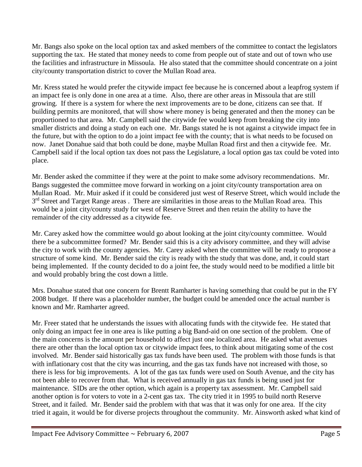Mr. Bangs also spoke on the local option tax and asked members of the committee to contact the legislators supporting the tax. He stated that money needs to come from people out of state and out of town who use the facilities and infrastructure in Missoula. He also stated that the committee should concentrate on a joint city/county transportation district to cover the Mullan Road area.

Mr. Kress stated he would prefer the citywide impact fee because he is concerned about a leapfrog system if an impact fee is only done in one area at a time. Also, there are other areas in Missoula that are still growing. If there is a system for where the next improvements are to be done, citizens can see that. If building permits are monitored, that will show where money is being generated and then the money can be proportioned to that area. Mr. Campbell said the citywide fee would keep from breaking the city into smaller districts and doing a study on each one. Mr. Bangs stated he is not against a citywide impact fee in the future, but with the option to do a joint impact fee with the county; that is what needs to be focused on now. Janet Donahue said that both could be done, maybe Mullan Road first and then a citywide fee. Mr. Campbell said if the local option tax does not pass the Legislature, a local option gas tax could be voted into place.

Mr. Bender asked the committee if they were at the point to make some advisory recommendations. Mr. Bangs suggested the committee move forward in working on a joint city/county transportation area on Mullan Road. Mr. Muir asked if it could be considered just west of Reserve Street, which would include the 3<sup>rd</sup> Street and Target Range areas. There are similarities in those areas to the Mullan Road area. This would be a joint city/county study for west of Reserve Street and then retain the ability to have the remainder of the city addressed as a citywide fee.

Mr. Carey asked how the committee would go about looking at the joint city/county committee. Would there be a subcommittee formed? Mr. Bender said this is a city advisory committee, and they will advise the city to work with the county agencies. Mr. Carey asked when the committee will be ready to propose a structure of some kind. Mr. Bender said the city is ready with the study that was done, and, it could start being implemented. If the county decided to do a joint fee, the study would need to be modified a little bit and would probably bring the cost down a little.

Mrs. Donahue stated that one concern for Brentt Ramharter is having something that could be put in the FY 2008 budget. If there was a placeholder number, the budget could be amended once the actual number is known and Mr. Ramharter agreed.

Mr. Freer stated that he understands the issues with allocating funds with the citywide fee. He stated that only doing an impact fee in one area is like putting a big Band-aid on one section of the problem. One of the main concerns is the amount per household to affect just one localized area. He asked what avenues there are other than the local option tax or citywide impact fees, to think about mitigating some of the cost involved. Mr. Bender said historically gas tax funds have been used. The problem with those funds is that with inflationary cost that the city was incurring, and the gas tax funds have not increased with those, so there is less for big improvements. A lot of the gas tax funds were used on South Avenue, and the city has not been able to recover from that. What is received annually in gas tax funds is being used just for maintenance. SIDs are the other option, which again is a property tax assessment. Mr. Campbell said another option is for voters to vote in a 2-cent gas tax. The city tried it in 1995 to build north Reserve Street, and it failed. Mr. Bender said the problem with that was that it was only for one area. If the city tried it again, it would be for diverse projects throughout the community. Mr. Ainsworth asked what kind of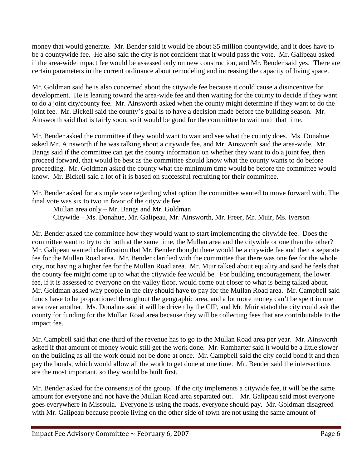money that would generate. Mr. Bender said it would be about \$5 million countywide, and it does have to be a countywide fee. He also said the city is not confident that it would pass the vote. Mr. Galipeau asked if the area-wide impact fee would be assessed only on new construction, and Mr. Bender said yes. There are certain parameters in the current ordinance about remodeling and increasing the capacity of living space.

Mr. Goldman said he is also concerned about the citywide fee because it could cause a disincentive for development. He is leaning toward the area-wide fee and then waiting for the county to decide if they want to do a joint city/county fee. Mr. Ainsworth asked when the county might determine if they want to do the joint fee. Mr. Bickell said the county's goal is to have a decision made before the building season. Mr. Ainsworth said that is fairly soon, so it would be good for the committee to wait until that time.

Mr. Bender asked the committee if they would want to wait and see what the county does. Ms. Donahue asked Mr. Ainsworth if he was talking about a citywide fee, and Mr. Ainsworth said the area-wide. Mr. Bangs said if the committee can get the county information on whether they want to do a joint fee, then proceed forward, that would be best as the committee should know what the county wants to do before proceeding. Mr. Goldman asked the county what the minimum time would be before the committee would know. Mr. Bickell said a lot of it is based on successful recruiting for their committee.

Mr. Bender asked for a simple vote regarding what option the committee wanted to move forward with. The final vote was six to two in favor of the citywide fee.

Mullan area only – Mr. Bangs and Mr. Goldman Citywide – Ms. Donahue, Mr. Galipeau, Mr. Ainsworth, Mr. Freer, Mr. Muir, Ms. Iverson

Mr. Bender asked the committee how they would want to start implementing the citywide fee. Does the committee want to try to do both at the same time, the Mullan area and the citywide or one then the other? Mr. Galipeau wanted clarification that Mr. Bender thought there would be a citywide fee and then a separate fee for the Mullan Road area. Mr. Bender clarified with the committee that there was one fee for the whole city, not having a higher fee for the Mullan Road area. Mr. Muir talked about equality and said he feels that the county fee might come up to what the citywide fee would be. For building encouragement, the lower fee, if it is assessed to everyone on the valley floor, would come out closer to what is being talked about. Mr. Goldman asked why people in the city should have to pay for the Mullan Road area. Mr. Campbell said funds have to be proportioned throughout the geographic area, and a lot more money can't be spent in one area over another. Ms. Donahue said it will be driven by the CIP, and Mr. Muir stated the city could ask the county for funding for the Mullan Road area because they will be collecting fees that are contributable to the impact fee.

Mr. Campbell said that one-third of the revenue has to go to the Mullan Road area per year. Mr. Ainsworth asked if that amount of money would still get the work done. Mr. Ramharter said it would be a little slower on the building as all the work could not be done at once. Mr. Campbell said the city could bond it and then pay the bonds, which would allow all the work to get done at one time. Mr. Bender said the intersections are the most important, so they would be built first.

Mr. Bender asked for the consensus of the group. If the city implements a citywide fee, it will be the same amount for everyone and not have the Mullan Road area separated out. Mr. Galipeau said most everyone goes everywhere in Missoula. Everyone is using the roads, everyone should pay. Mr. Goldman disagreed with Mr. Galipeau because people living on the other side of town are not using the same amount of